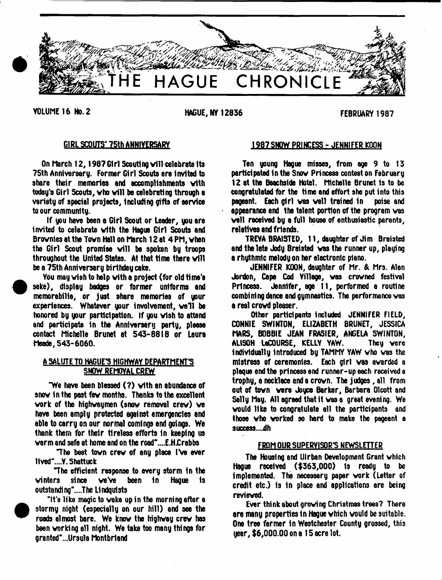

YOLUME 16 No. 2 HAGUE, NY 12836 FEBRUARY 1987

 $\bullet$ 

# GIRl SCOUTS'75th ANNIVERSARY

On March 12, 1987 Girl Scouting will celebrate its 75th Anniversary. Former Girl Scouts ere Invited to share their memories and accomplishments with today's Girl Scouts, who will be celebrating through a variety of special projects, including gifts of service to our community.

If you have been a Girl Scout or Leader, you are invited to celebrate with the Hague Girl Scouts and Brovnles at the Town Hall on March 12 at 4 PM, vhen the Girl Scout promise will be spoken by troops throughout the United States. At that time there will be a 75th Anniversary birthday cake.

You may wish to help with a project (for old time's sake), display badges or former uniforms and memorabilia, or just share memories of your experiences. Whatever your involvement, we'll be honored by your participation. If you vish to attend and participate in the Anniversary party, please contact Michelle Brunet at 543-8818 or Laura Meade, 543-6060.

## A SALUTE TO HAGUE'S HIGHWAY DEPARTMENT'S SNOW REMOVAL CREW

"We have been blessed (7) vith an abundance of snov in the past fev months. Thanks to the excellent vork of the highwaymen (snov removal crev) ve have been amply protected against emergencies and able to carry on our normal comings end goings. We thank them for their tireless efforts in keeping us varm and safe at home and on the road"....E.H£rabbs

The best tovn crev of any place IVe ever 11ved"....Y. Shattuck

The efficient response to every storm in the vinters since veVe been in Hague is outstanding"....The Lindquists

"It's like magic to wake up in the morning after a stormy night (especially on our hill) and see the roads almost bare. We knov the highway crev has been working all night. We take too many things for granted"...Ursu1a Montbriand

## 1987SNOW PRINCESS - JENNIFER KOON

Ten young Hague misses, from age 9 to 13 participated in the Snov Princess contest on February 12 at the Beachslde Hotel. Michelle Brunet 1s to be congratulated for the time end effort she put into this pageant. Each girl vas vail trained in poise and appearance end the talent portion of the program vas veil received by a full house of enthusiastic parents, relatives end friends.

TREYA BRAISTED, 11, daughter of Jim Braisted and the late Jody Braisted was the runner up, playing a rhythmic melody on her electronic piano.

JENNIFER KOON, daughter of Mr. & Mrs. Alan Jordon, Cape Cod Village, was crowned festival Princess. Jennifer, age 11, performed a routine combining dance and gymneetics. The performance vas a real crowd plesser.

Other participants included JENNIFER FIELD, CONNIE SWINTON, ELIZABETH BRUNET, JESSICA MARS, BOBBIE JEAN FRASIER, ANGELA SWINTON, ALISON LaCOURSE, KELLY YAW. They vere individually introduced by TAMMY YAW who was the mistress of ceremonies. Each girl vas awarded a plaque end the princess end runner-up each received e trophy, a necklace ande crovn. The judges, all from out of tovn were Joyce Barker, Barbara Olcott and Sally May. All sgreed that it was a great evening. We vould like to congratulate all the participants and those vho worked so herd to make the pageant a success...jdh

#### FROM OUR SUPERVISOR'S NEWSLETTER

The Housing and Ulrban Development Grant which Hague received (\$363,000) Is ready to be implemented. The necessary paper work (Letter of credit etc.) 1s In place and applications are being reviewed.

Ever think about growing Christmas trees? There are many properties in Hague vhich vould be suitable. One tree farmer in Westchester County grossed, this year, \$6,000.00 on a 15 acre lot.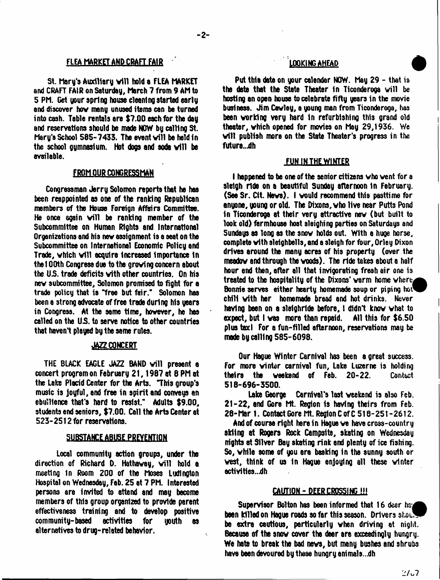## FLEA MARKET AND CRAFT FAIR

St. Mary's Auxiliary will hold a FLEA MARKET and CRAFT FAIR on Saturday, March 7 from 9 AM to 5 PM. Get your aprlng house cleaning started early and discover hov many unused items can be turned into cash. Table rentals are \$7.00 each for the day and reservations should be made NOW by celling St. Mary's School 585-7433. The event will be held in the school gymnasium. Hot dogs and soda will be available.

## FROM OUR CONGRESSMAN

Congressman Jerry Solomon reports that he has been reappointed as one of the ranking Republican members of the House Foreign Affairs Committee. He once again will be ranking member of the Subcommittee on Human Rights and International Organizations and his nev assignment is a seat on the Subcommittee on International Economic Policy and Trade, which will acquire increased importance in thel 00th Congress due to the groving concern about the US. trade deficits vith other countries. On his nev subcommittee, Solomon promised to fight for a trade policy that is Tree but fair." Solomon has been a strong advocate of free trade during his years in Congress. At the same time, however, he has called on the US. to serve notice to other countries that haven't played by the same rules.

#### **JAZZ CONCERT**

THE BLACK EAGLE JAZZ BAND will present a concert program on February 21,1987 at 8 PM at the Lake Placid Center for the Arts. "This group's music is joyful, and free in spirit and conveys an ebullience that's hard to resist." Adults \$9.00, students end seniors, \$7.00. Call the Arts Center at 523-2512 for reservations.

#### SUBSTANCE ABUSE PREVENTION

Local community action groups, under the direction of Richard D. Hathaway, will hold a meeting in Room 200 of the Moses Ludlngton Hospital on Wednesday, Fab. 25 at 7 PM. Interested persons are Invited to attend end may become members of this group organized to provtde parent effectiveness training and to develop positive community-based activities for youth es alternatives to drug-related behavior.

## LOOKING AHEAD

Put this date on your calendar NOW. May 29 - that is the date that the State Theater in Ticonderoga will be hosting an open house to celebrate fifty years in the movie business. Jim Cevley, a young man from Ticonderoga, has been vorklng very hard in refurbishing this grand old theater, vhich opened for movies on May 29,1936. We will publish more on the State Theater's progress in the future...dh

#### **FUN IN THE WINTER**

I happened to be one of the senior citizens vho vent for a sleigh ride on a beautiful Sunday afternoon In February. (Saa Sr. Cit. Neve). I vould recommend this pasttime for anuone, young or old. The Dixons, who live near Putts Pond in Ticonderoga at their very attractive nev (but built to look old) farmhouse host sleighing parties on Saturdays and Sundays as long es the snov holds out. With a huge horse, complete vith sleighbells, and a sleigh for four, Orley Dixon drives around the many acres of his property (over the meedov and through the voods). The ride takes about a half hour end then, after all that invigorating fresh air one is treated to the hospitality of the Dixons' warm home where, Bonnie serves either hearty homemade soup or piping hot chili vith her homemade bread and hot drinks. Never having baan on a slelghrlde before, 1 didn't knov vhat to expect, but I vas more than repaid. All this for \$6.50 plus taxi For s fun-filled afternoon, reservations may be made by calling 585-6098.

Our Hague Winter Carnival has been a great success. For more vinter carnival fun. Lake Luzerne is holding theirs the weekend of Feb. 20-22. Contact 518-696-3500.

Loks George Carnival's last weekend is also Feb. 21-22, and Gore Mt. Region Is having theirs from Feb. 28-Mar 1. Contact Gore Mt. Region C of C 518-251-2612.

And of course right here in Hague we have cross-country skiing at Rogers Rock Campsite, skating on Wednesday nights at Silver Bay skating rink and plenty of ice fishing. So, while some of you are basking in the sunny south or vest, think of us In Hague enjoying all these winter activities...dh

#### CAUTION-DEERCR055ING!!!

Supervisor Bolton has been informed that  $16$  dear hs. been killed on Hague roads so far this season. Drivers shout be extra cautious, particularly when driving at night. Because of the snov cover the deer ere exceedingly hungry. We hate to break the bad news, but many bushes and shrubs have been devoured by these hungry anima1s...dh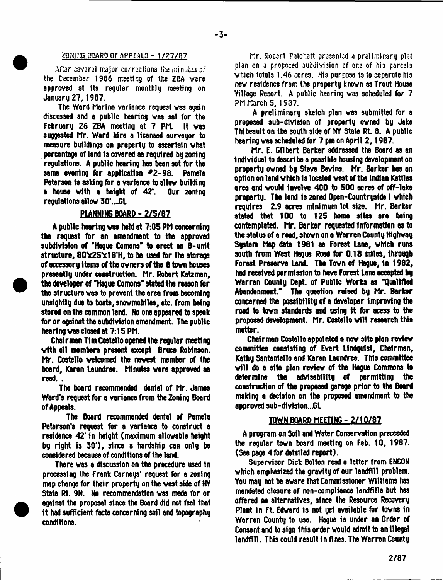#### **ZONING BOARD OF APPEALS - 1/27/87**

Aftar cavaral major corrections tho minutes of the Cecsmber 1986 meeting of the ZBA vere approved at its regular monthly meeting on January 27, 1987.

The Ward Marina variance request vas again discussed and a public hearing vas set for the February 26 ZBA meeting at 7 PM. It vas suggested Mr. Ward hire a licensed surveyor to measure buildings on property to ascertain vhat percentage of land is covered as required by zoning regulations. A public hearing has been set for the same evening for application #2-98. Pamela Peterson is asking for a variance to allow building a house with a height of 42'. Our zoning requistions allow 30'...GL

#### **PLANNING BOARD - 2/5/87**

A public hearing vas held at 7:05 PM concerning the request for an amendment to the approved subdivision of "Hague Comons" to erect an 8-unit structure, 80\*x25\*x18'H, to be used for the storage of accessory Items of the ovners of the 8 tovn houses presently under construction. Mr. Robert Katzman, the developer of "Hague Comoro" stated the reason for the structure vas to prevent the area from becoming unsightly due to boats, snovmobiles, etc. from being stored on the common land. No one appeared to speak for or against the subdivision amendment. The public hearing vas closed at 7:15 PM.

Chairman Tim Costello opened the regular meeting vith all members present except Bruce Robinson. Mr. Costello velcomed the newest member of the board, Karen Laundree. Minutes vere approved as read. .

The board recommended dental of Mr. James Ward's request fbr a variance from the Zoning Board of Appeals.

The Board recommended dental of Pamela Peterson's request for a variance to construct a residence 42' in height (maximum allowable height by right is 30\*), since a hardship can only be considered because of conditions of the land.

There vas a discussion on the procedure used in processing the Frank Carneys' request for a zoning map change for their property on the west side of NY State Rt. 9N. No recommendation vas made for or against the proposal since the Board did not feel that It had sufficient facts concerning soil and topography conditions.

Mr. Robart Patchett presented a praliminary plat plan on a propoced subdivision of one of his parcals vhich totals 1.46 ocres. His purpose is to separate his nev residence from the property knovn as Trout House Village Resort. A public hearing vas scheduled for 7 PM March 5, 1937.

A preliminary sketch plan vas submitted for a proposed sub-division of property owned by Jake Thibeault on the south side of NY State Rt. 8. A public hearing vas scheduled fbr 7 pm on April 2, 1987.

Mr. E. Gilbert Barker addressed the Board as an individual to describe e possible housing development on property owned by Steve Bevins. Mr. Barker has an option on land which is located vest of the Indian Kettles area and vould involve 400 to 500 acres of off-lake property. The land is zoned Open-Countryside I which requires 2.9 acres minimum lot size. Mr. Barker stated that 100 to 125 home sites are being contemplated. Mr. Barker requested information as to the status of a road, shown on a Warren County Highway System Map date 1981 as Forest Lane, which runs south from West Hogue Road fbr 0.18 miles, through Forest Preserve Land. The Town of Hague, In 1982, had received permission to have Forest Lane accepted by Warren County Dept, of Public Works as "Qualified Abandonment." The question raised by Mr. Barker concerned the possibility of a developer improving the road to town standards and using it for acess to the proposed development. Mr. Costello will research this matter.

Chairmen Costello appointed a new site plan review committee consisting of Evert Lindquist, Chairman, Kathy Santanlello and Karen Laundree. Thte committee will do a site plan review of the Hegue Commons to determine the advisability of permitting the construction of the proposed garage prior to the Board making a decision on the proposed amendment to the approved sub-divl3lon..JGL

#### TOWN BOARD MEETING - 2/10/87

A program on Soil and Water Conservation proceeded the regular town board meeting on Feb. 10, 1987. (See page 4 for detailed report).

Supervisor Dick Bolton reed e letter from ENCON which emphasized the gravity of our landfill problem. You may not be aware that Commissioner Williams has mandated closure of non-compliance landfills but has offered no alternatives, since the Resource Recovery Plant in Ft. Edward is not yet available for towns in Warren County to use. Hague is under an Order of Consent and to sign this order vould admit to an illegal landfill. This could result in fines. The Warren County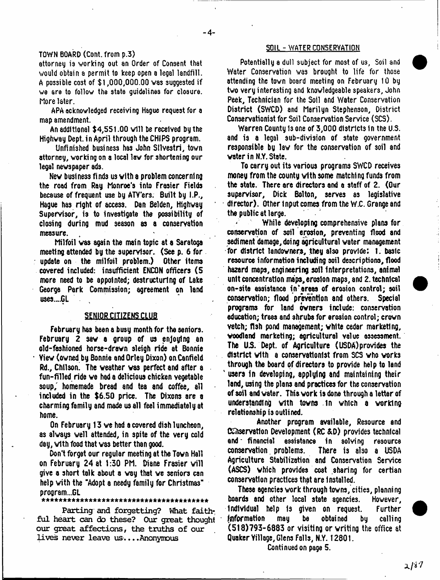#### TOWN BOARD (Cont. from p.3)

attorney is working out an Order of Consent that vould obtain a permit to keep open a legal landfill. A possible cost of  $$1,000,000.00$  was suggested if we are to follow the state guidelines for closure. More later.

APA acknowledged receiving Hague request for a map amendment.

An additional \$4,551.00 will be received by the Highway Dept.in April through the CHIPS program.

Unfinished business has John Sllvestri, town attorney, working on a local lav for shortening our legal newspaper ads.

New business finds us with a problem concerning the road from Ray Monroe's into Frasier Fields because of frequent use by ATY'ers. Built by I.P., Hague has right of access. Dan Belden, Highway Supervisor, is to investigate the possibility of closing during mud season as a conservation measure.

Milfoil was again the main topic at a Saratoga meeting attended by the supervisor. (See  $p$ , 6 for  $\overline{p}$ update on the milfoil problem.) Other items covered included: insufficient ENCON officers (5 more need to be appointed; destructuring of Lake George Park Commission; agreement on land uses.".GL

### **SENIOR CITIZENS CLUB**

February has been a busy month for the seniors. February 2 saw a group of us enjoying an old-fashioned horse-drawn sleigh ride at Bonnie Yiew (owned by Bonnie and Orley Dixon) on Canfield Rd., Chilson. The weather vas perfect and after a fun-filled ride we had a delicious chicken vegetable soup/ homemade bread and tea and coffee, all included in the \$6.50 price. The Dixons are a charming family and made us all feel immediately at home.

On February 13 we had a covered dish luncheon, as always well attended, in spite of the very cold day, with food that vas better than good.

Don't forget our regular meeting at the Tovn Hell on February 24 at 1:30 PM. Diane Frasier will give a short talk about a way that we seniors can help with the "Adopt a needy family for Christmas" program...GL

#### \*\*\*\*\*\*\*\*\*\*\*\*\*\*\*\*\*\*\*\*\*\*\*\*\*\*\*\*\*\*\*\*\*\*\*\*\*

**Parting and forgetting? What faithful heart can do these? Our great thought our great affections, the truths of our lives never leave us... .Anonymous**

#### **SOIL - WATER CONSERVATION**

Potentially a dull subject for most of us, Soil and Water Conservation was brought to life for those attending the town board meeting on February 10 by two very interesting and knowledgeable speakers, John Peek, Technician for the Soil and Water Conservation District (SWCD) and Marilyn Stephenson, District Conservationist for Soil Conservation Service (SCS).

Warren County 1s one of 3,000 districts 1n the U.S. and is a legal sub-division of state government responsible by law for the conservation of soil and water in N.Y. State.

To carry out its various programs SWCD receives money from the county with some matching funds from the state. There are directors and a staff of 2. (Our supervisor, Dick Bolton, serves as legislative director). Other input comes from the W.C. Grange and the public at large.

While developing comprehensive plans for conservation of soil erosion, preventing flood and sediment damage, doing agricultural water management for district landowners, they also provide: 1. basic resource information including soil descriptions, flood hazard maps, engineering soil interpretations, animal unit concentration maps,erosion maps, and 2. technical on-site assistance in "areas of erosion control; soil conservation; flood prevention and others. Special programs for land owners include: conservation education; trees and shrubs for erosion control; crown vetch; fish pond management; white cedar marketing, woodland marketing; agricultural value assessment. The U.S. Dept, of Agriculture (USDA) provides the district with a conservationist from 505 who works through the board of directors to provide help to land users in developing, applying and maintaining their land, using the plans and practices for the conservation of soil and water. This work is done through a letter of understanding with towns in which a working relationship is outlined.

Another program available, Resource and Observation Development (RC &D) provides technical and' financial assistance in solving rssourcs conservation. problems. There is also a USDA Agriculture Stabilization and Conservation Service (ASCS) vhich provides cost sharing for certian conservation practices that are installed.

These agencies work through towns, cities, planning boards and other local state agencies. However, individual help Is given on request. Further Information may be obtai ned by calling (518)793-6883 or visiting or writing the office at Quaker Yillage, Glens Falls, N.Y. 12801.

Continued on page 5.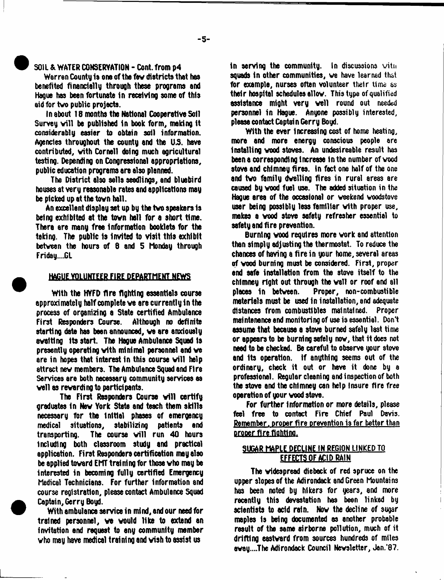#### SOIL & WATER CONSERVATION - Cont. from p4

Warren County la one of the fev districts that has benefited financially throuQh these programs and Hague has been fortunate in receiving some of this aid for tvo public projects.

In about 18 months the National Cooperative Soil Survey will be published in book form, making it considerably easier to obtain soil information. Agencies throughout the county and the US. have contributed, vith Cornell doing much agricultural testing. Depending on Congressional appropriations, public education programs are also planned.

The District also sella seedlings, and bluebird houses at very reasonable rates and applications may be picked up at the tovn hall.

An excellent display set up by the tvo speakers is being exhibited at the tovn hall for a short time. There are many free information booklets for the taking. The public Is Invited to visit this exhibit betveen the hours of 6 and 5 Monday through Friday....GL

#### HAGUE VOLUNTEER FIRE DEPARTMENT NEWS

With the HYFD fire fighting essentials course approximately half complete ve are currently in the process of organizing a State certified Ambulance First Responders Course. Although no definite starting date has been announced, ve are anxiously aval ting its start. The Hague Ambulance Squad Is presently operating vith minimal personnel and ve are in hopes that interest in this course will help attract nev members. The Ambulance Squad and Fire Services are both necessary community services es veil as rewarding to participants.

The First Responders Course will certify graduates in Nev York State and teach them skills necessary fbr the Initial phases of emergency medical situations, stabilizing patients and transporting. The course will run 40 hours including both classroom study and practical application. First Responders certification may also be applied toward EMT training for those who may be interested in becoming fully certified Emergency Medical Technicians. For further information and course registration, please contact Ambulance Squad Captain, Gerry Boyd.

With ambulance service in mind, and our need for trained personnel, ve vould like to extend an invitation and requaat to any community member vho may have medical training and viah to assiat us

in serving the community. In discussions with squads in other communities, we have learned that for example, nurses often volunteer their time as their hospital schedules ellov. This type of qualified **assistance might very well round out needed** personnel in Hague. Anyone possibly interested, please contact Captain Gerry Boyd.

With the ever Increasing cost of home heating, mors and more energy conscious people are Installing vood stoves. An undesireable result has been a corresponding increase in the number of vood stove and chimney fires. In fact one half of the one and tvo family dvelling fires in rural areas are caused by vood fuel use. The added situation in the Hague area of the occasional or veekend voodstove user being possibly leas familiar vith proper use, makes a vood stove safety refresher essential to safety and fire prevention.

Burning vood requires more vork and attention than simply adjusting the thermostat. To reduce the chances of having a fire in your home, several areas of vood burning must be considered. First, proper end safe installation from the stove itself to the chimney right out through the vail or roof and all places in betveen. Proper, non-combustible materials must be used in installation, and adequate distances from combustibles maintained. Proper maintenance end monitoring of use is essential. Don't assume that because a stove burned safely last time or appears to be burning safely nov, that it does not need to be checked. Be careful to observe your stove end its operation, if anything seems out of the ordinary, check it out or have it done by a professional. Regular cleaning and inspection of both the stove and the chimney can help Insure fire free operation of your vood stove.

For further information or more details, please feel free to contact Fire Chief Paul Davis. Remember, proper fire prevention is far better than proper fire fighting.

# SUGAR MAPLE DECLINE IN REGION LINKED TO EFFECTS OF ACID RAIN

The videspread diebeck of red spruce on the upper slopes of the Adirondack and Green Mountains has been noted by hikers for years, and more recently this devastation has been linked by scientists to acid rain. Nov the decline of sugar maples Is being documented as another probable result of the seme airborne pollution, much of it drifting eastvard from sources hundreds of miles avay....The Adirondack Council Nevsletter, Jon.'87.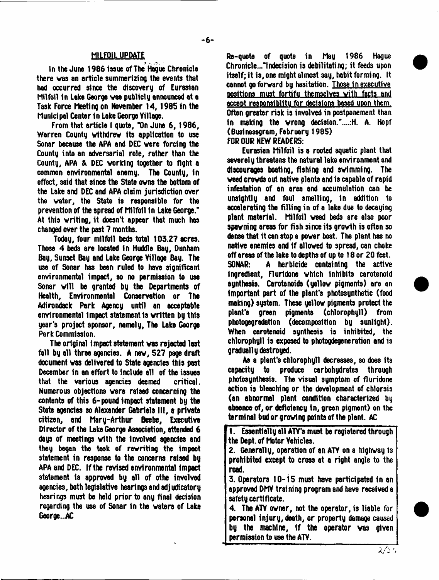### MILFOIL UPDATE

In the June 1986 issue of The Hague Chronicle there vas an article summerizing the events that had occurred since the discovery of Eurasian Milfoil in Lake George vas publicly announced at a Task Force Meeting on November 14, 1985 in the Municipal Center in Lake George Village.

From that article I quote, "On June 6, 1986, Warren County vfthdrev Its application to use Sonar because the APA and DEC vere forcing the County into an adversarial role, rather than the County, APA & DEC vorklng together to fight a common environmental enemy. The County, in effect, said that since the State ovns the bottom of the Lake and DEC and APA claim jurisdiction over the vater, the State is responsible for the prevention of the spread of Milfoil In Lake George.\* At this vriting, it doesn't appear that much has changed over the past 7 months.

Today, four milfoil beds total 103.27 acres. Those 4 beds are located in Huddle Bay, Dunham Gay, Sunset Bay and Lake George Village Bay. The use of Sonar has been ruled to have significant environmental impact, so no permission to use Sonar will be granted by the Departments of Health, Environmental Conservation or The Adirondack Park Agency until an acceptable environmental Impact statement Is vrltten by this year's project sponsor, namely, The Lake George Park Commission.

The original impact statement vas rejected last fall by all three agencies. A nev, 527 page draft document vas delivered to State agencies this past December in an effort to include ell of the issues that the various agencies deemed critical. Numerous objections vere raised concerning the contents of this 6-pound impact statement by the State agencies so Alexander Gabriels III, a private citizen, and Mary-Arthur Beebe, Executive Director of the Lake George Association, attended 6 days of meetings vith the Involved agencies and they began the task of rewriting the impoct statement in response to the concerns raised by APA and DEC. If the revised environmental Impact statement is approved by all of othe involved agencies, both legislative hearings and adjudicatory hearings must be held prior to any final decision regarding the use of Sonar in the waters of Lake George...AC

Re-quote of quote in May 1986 Hague Chronic1e..."lndecision is debilitating; it feeds upon itself; it is, one might almost say, habit forming. It cannot go forward by hesitation. Those in executive positions must fortifu themselves with facts and accent resoonsiblitu for decisions based upon them. Often greater risk is involved in postponement than in making the wrong decision."....:H. A. Hopf (Busines8gram, February 1985) FOR OUR NEW READERS:

Eurasian Milfoil is a rooted aquatic plant that severely threatens the natural lake environment and discourages boatlna, fishing end swimming. The weed crowds out native plants end is capable of rapid infestation of an area and accumulation can be unsightly and foul smelling. In addition to accelerating the filling in of a lake due to decaying plant material. Milfoil weed beds are also poor spavning areas fbr fish since its growth is often so dense that it can stop a power boat. The plant has no native enemies and If allowed to spread, can choke off areas of the lake to depths of up to 18 or 20 feet. SONAR: A herbicide containing the active Ingredient, Flurldone which Inhibits carotenoid synthesis. Carotenoids (yellow pigments) are an important part of the plant's photosynthetic (food making) system. These yellow pigments protect the plant's green pigments (chlorophyll) from photogegradatlon (decomposition by sunlight). When carotenoid synthesis is inhibited, the chlorophyll is exposed to photogdegeneration and is gradually destroyed.

As a plant's chlorophyll decreases, so does its capacity to produce carbohydrates through photosynthesis. The visual symptom of fluridone action is bleaching or the development of chlorsis (an abnormal plant condition characterized by absence of, or deficiency in, green pigment) on the terminal bud or growing points of the plant. AC

1. Essentially all ATV's must be registered through the Dept, of Motor Vehicles.

2. Generally, operation of an ATY on a highway is prohibited except to cross at a right angle to the road.

3. Operators 10-15 must have participated In an approved DMY training program and have received a safety certificate.

4. The ATY ovner, not the operator, is liable for personal injury, deeth, or property damage caused by the machine, 1f the operator vas given permission to use the ATY.

*X / c*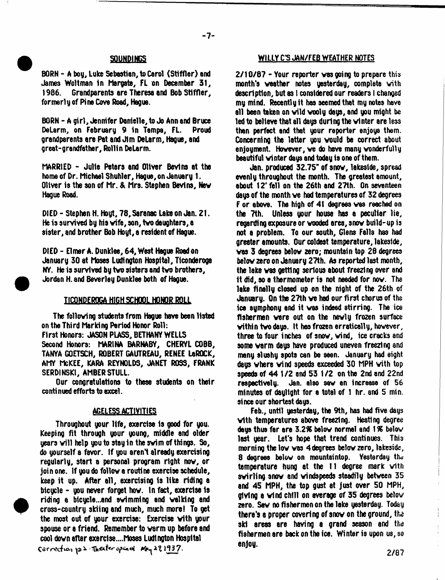BORN - A boy, Luke Sebastian, to Carol (Stiffler) end James Woltman In Margate, FL on December 31, Grandparents are Theresa and Bob Stiffler. formerly of Pine Cove Road, Hague.

BORN - A girl, Jennifer Danielle, to Jo Ann and Bruce DeLarm, on February 9 in Tampa, FL. grandparents are Pat and Jim DeLarm, Hague, and great-grandfather, Rollin DeLarm.

MARRIED - Julie Peters and Oliver Bevins at the home of Dr. Michael Shuhler, Hague, on January 1. Oliver is the son of Mr. & Mrs. Stephen Bevins, Nev Hague Road.

DIED - Stephen H. Hoyt, 78, Saranac Lake on Jan. Z1. He is survived by his vife, son, tvo daughters, a sister, and brother Bob Hoyt, a resident of Hague.

DIED - Elmer A. Dunklee, 64, West Hague Road on January 30 at Moses Ludington Hospital, Ticonderoga NY. He is survived by tvo sisters and tvo brothers, Jordan H. and Beverley Dunklee both of Hague.

#### **ILCONDEROGA HIGH SCHOOL HONOR ROLL**

The folloving students from Hague have been listed on the Third Marking Period Honor Roll: First Honors: JASON PIASS, BETHANY WELLS Second Honors: MARINA BARNABV, CHERYL COBB, TANYA GOETSCH, ROBERT GAUTREAU, RENEE LaROCK, AMY McKEE, KARA REYNOLDS, JANET ROSS, FRANK SERDINSK1, AMBER STULL.

Our congratulations to these students on their conti nued efforts to excel.

## **AGELESS ACTIVITIES**

Throughout your life, exercise 1s good for you. Keeping fit through your young, middle and older years will help you to stay in the swim of things. So, do yourself a favor. If you arenl already exercising regularly, start a personal program right nov, or join one. If you do follov a routine exercise schedule, keep it up. After all, exercising is like riding a bicycle - you never forget hov. In fact, exercise Is riding a bicycle...and svimming and valkfng and cross-country skiing and much, much more! To get the most out of your exercise: Exercise vith your spouse or a friend. Remember to varm up before and cool dovn after exerdse....Moses Ludington Hospital Correction to 2 Theater opened May 281937.

## SOUNDINGS WILLY C'S JAN/FEB WEATHER NOTES

2/10/87 - Your reporter vas going to prepare this month's veather notes yesterday, complete vith description, but as 1 considered our readers I changed my mind. Recently it has seemed that my notes have all been taken on vild vooly days, and you might be led to believe that all days during the vinter are less than perfect and that your reporter enjoys them. Concerning the latter you vould be correct about enjoyment. Hovever, ve do have many vonderfully beautiful winter days and today is one of them.

Jan. produced 32.75" of snov, lakeside, spread evenly throughout the month. The greatest amount, about 12\* fell on the 26th and 27th. On seventeen days of the month ve had temperatures of 32 degrees F or above. The high of 41 degrees vas reached on the 7th. Unless your house has a peculiar lie, regarding exposure or vooded area, snov build-up is not a problem. To our south, Glens Falls has had greater amounts. Our coldest temperature, lakeside, vas 3 degrees belov zero; mountain top 28 degrees belov zero on January 27th. As reported last month, the lake vas getting serious about freezing over and it did, so a thermometer is not needed for nov. The lake finally closed up on the night of the 26th of January. On the 27th ve hod our first chorus of the ice symphony and it vas indeed stirring. The ice fishermen vere out on the nevly frozen surface vithin tvo days. It has frozen erratically, hovever, three to four inches of snov, vind, ice cracks and some varm days have produced uneven freezing and many slushy spots can be seen. January had eight days vhere vind speeds exceeded 30 MPH vith top speeds of 44 1 /2 and 53 1/2 on the 2nd and 22nd respectively. Jan. also sev an Increase of 56 minutes of dayltght for a total of 1 hr. and 5 min. since our shortest days.

Feb., until yesterday, the 9th, has had five days vith temperatures above freezing. Heating degree days thus far are 3.28 belov normal and 1 *%* belov last year. Let's hope that trend continues. This morning the lov vas 4degrees belov zero, lakeside, 8 degrees belov on mountaintop. Yesterday the temperature hung at the 11 degree mark vith svirling snov and vindspeeds steadily betveen 35 and 45 MPH, the top gust at just over 50 MPH, giving a vind chill on average of 35 degrees belov zero. Sav no fishermen on the lake yesterday. Today there's a proper covering of snov on the ground, the ski areas are having a grand season and the fishermen are back on the ice. Winter is upon us, so enjoy.

2/87